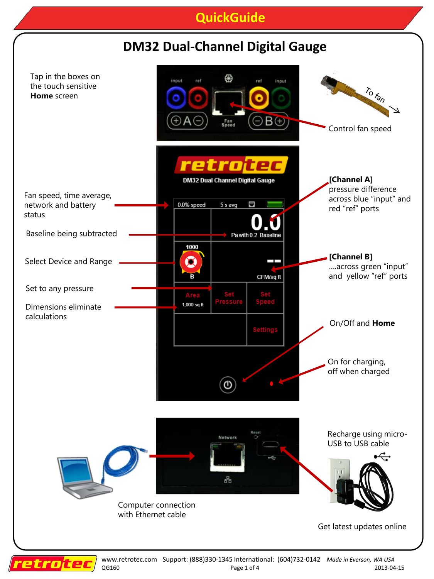## **QuickGuide**



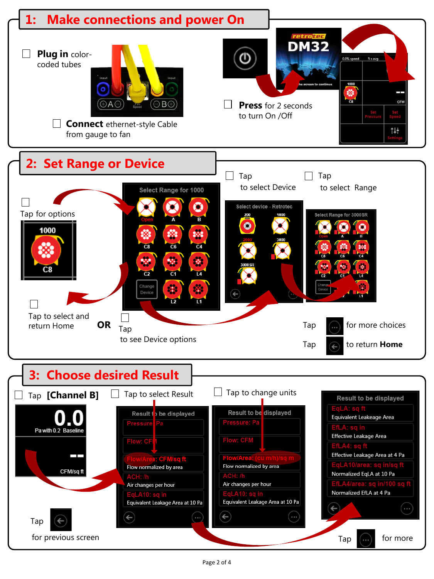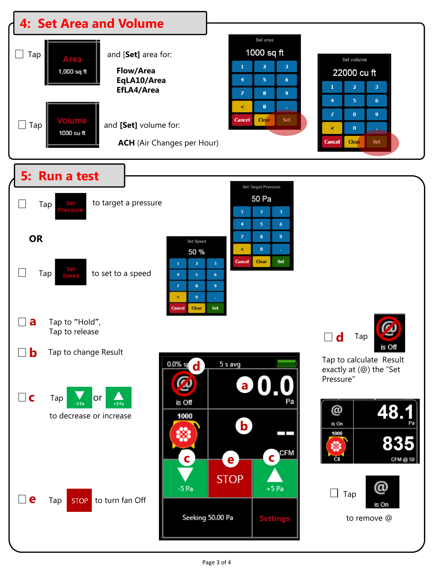